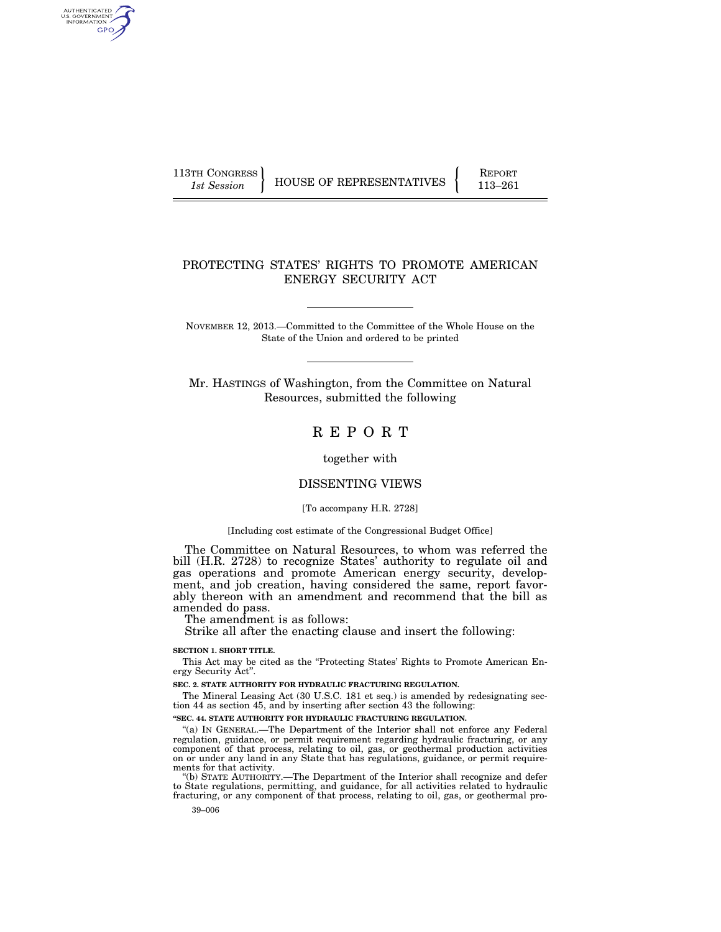AUTHENTICATED<br>U.S. GOVERNMENT<br>INFORMATION GPO

113TH CONGRESS HOUSE OF REPRESENTATIVES FEPORT 113–261

# PROTECTING STATES' RIGHTS TO PROMOTE AMERICAN ENERGY SECURITY ACT

NOVEMBER 12, 2013.—Committed to the Committee of the Whole House on the State of the Union and ordered to be printed

Mr. HASTINGS of Washington, from the Committee on Natural Resources, submitted the following

R E P O R T

together with

# DISSENTING VIEWS

### [To accompany H.R. 2728]

#### [Including cost estimate of the Congressional Budget Office]

The Committee on Natural Resources, to whom was referred the bill (H.R. 2728) to recognize States' authority to regulate oil and gas operations and promote American energy security, development, and job creation, having considered the same, report favorably thereon with an amendment and recommend that the bill as amended do pass.

The amendment is as follows:

Strike all after the enacting clause and insert the following:

### **SECTION 1. SHORT TITLE.**

This Act may be cited as the "Protecting States' Rights to Promote American Energy Security Act''.

**SEC. 2. STATE AUTHORITY FOR HYDRAULIC FRACTURING REGULATION.** 

The Mineral Leasing Act (30 U.S.C. 181 et seq.) is amended by redesignating section 44 as section 45, and by inserting after section 43 the following:

# **''SEC. 44. STATE AUTHORITY FOR HYDRAULIC FRACTURING REGULATION.**

''(a) IN GENERAL.—The Department of the Interior shall not enforce any Federal regulation, guidance, or permit requirement regarding hydraulic fracturing, or any component of that process, relating to oil, gas, or geothermal production activities on or under any land in any State that has regulations, guidance, or permit requirements for that activity.

''(b) STATE AUTHORITY.—The Department of the Interior shall recognize and defer to State regulations, permitting, and guidance, for all activities related to hydraulic fracturing, or any component of that process, relating to oil, gas, or geothermal pro-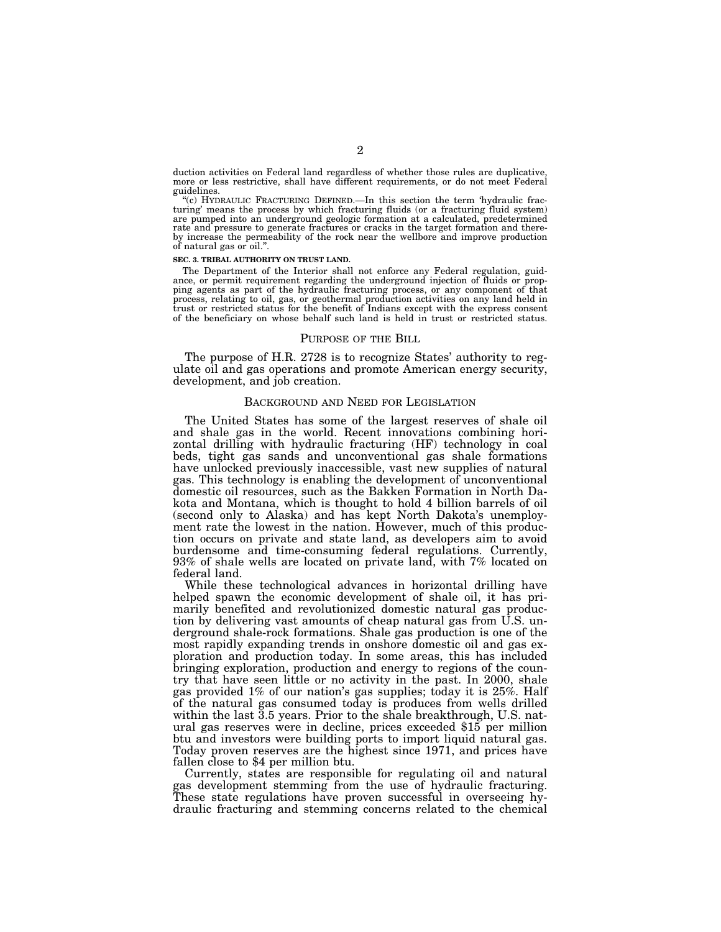duction activities on Federal land regardless of whether those rules are duplicative, more or less restrictive, shall have different requirements, or do not meet Federal guidelines.

''(c) HYDRAULIC FRACTURING DEFINED.—In this section the term 'hydraulic fracturing' means the process by which fracturing fluids (or a fracturing fluid system) are pumped into an underground geologic formation at a calculated, predetermined rate and pressure to generate fractures or cracks in the target formation and thereby increase the permeability of the rock near the wellbore and improve production of natural gas or oil.''.

#### **SEC. 3. TRIBAL AUTHORITY ON TRUST LAND.**

The Department of the Interior shall not enforce any Federal regulation, guidance, or permit requirement regarding the underground injection of fluids or propping agents as part of the hydraulic fracturing process, or any component of that process, relating to oil, gas, or geothermal production activities on any land held in trust or restricted status for the benefit of Indians except with the express consent of the beneficiary on whose behalf such land is held in trust or restricted status.

#### PURPOSE OF THE BILL

The purpose of H.R. 2728 is to recognize States' authority to regulate oil and gas operations and promote American energy security, development, and job creation.

## BACKGROUND AND NEED FOR LEGISLATION

The United States has some of the largest reserves of shale oil and shale gas in the world. Recent innovations combining horizontal drilling with hydraulic fracturing (HF) technology in coal beds, tight gas sands and unconventional gas shale formations have unlocked previously inaccessible, vast new supplies of natural gas. This technology is enabling the development of unconventional domestic oil resources, such as the Bakken Formation in North Dakota and Montana, which is thought to hold 4 billion barrels of oil (second only to Alaska) and has kept North Dakota's unemployment rate the lowest in the nation. However, much of this production occurs on private and state land, as developers aim to avoid burdensome and time-consuming federal regulations. Currently, 93% of shale wells are located on private land, with 7% located on federal land.

While these technological advances in horizontal drilling have helped spawn the economic development of shale oil, it has primarily benefited and revolutionized domestic natural gas production by delivering vast amounts of cheap natural gas from U.S. underground shale-rock formations. Shale gas production is one of the most rapidly expanding trends in onshore domestic oil and gas exploration and production today. In some areas, this has included bringing exploration, production and energy to regions of the country that have seen little or no activity in the past. In 2000, shale gas provided 1% of our nation's gas supplies; today it is 25%. Half of the natural gas consumed today is produces from wells drilled within the last 3.5 years. Prior to the shale breakthrough, U.S. natural gas reserves were in decline, prices exceeded \$15 per million btu and investors were building ports to import liquid natural gas. Today proven reserves are the highest since 1971, and prices have fallen close to \$4 per million btu.

Currently, states are responsible for regulating oil and natural gas development stemming from the use of hydraulic fracturing. These state regulations have proven successful in overseeing hydraulic fracturing and stemming concerns related to the chemical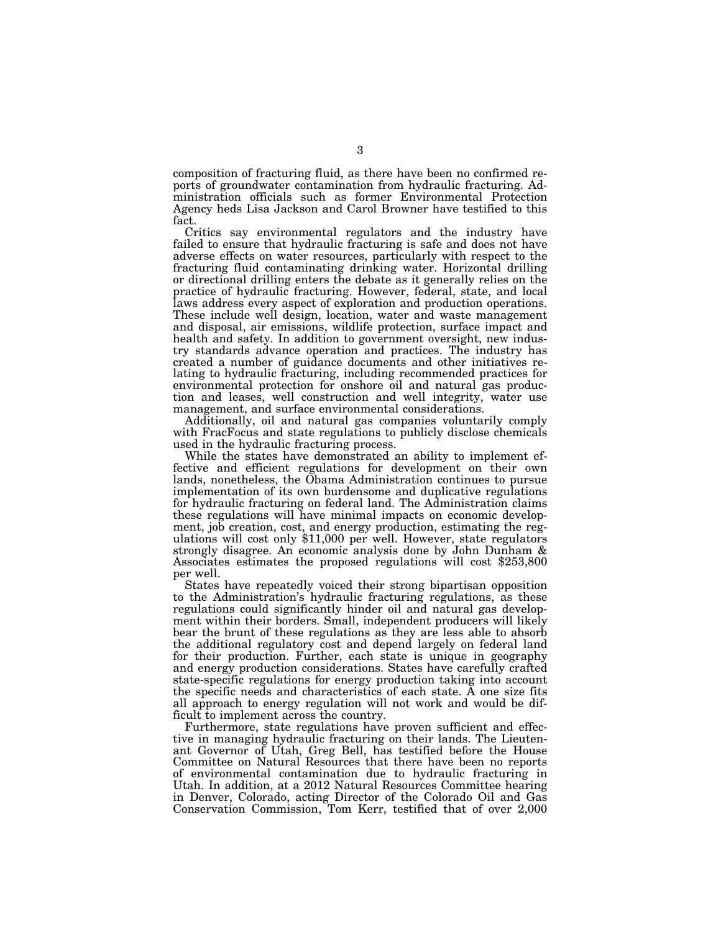composition of fracturing fluid, as there have been no confirmed reports of groundwater contamination from hydraulic fracturing. Administration officials such as former Environmental Protection Agency heds Lisa Jackson and Carol Browner have testified to this fact.

Critics say environmental regulators and the industry have failed to ensure that hydraulic fracturing is safe and does not have adverse effects on water resources, particularly with respect to the fracturing fluid contaminating drinking water. Horizontal drilling or directional drilling enters the debate as it generally relies on the practice of hydraulic fracturing. However, federal, state, and local laws address every aspect of exploration and production operations. These include well design, location, water and waste management and disposal, air emissions, wildlife protection, surface impact and health and safety. In addition to government oversight, new industry standards advance operation and practices. The industry has created a number of guidance documents and other initiatives relating to hydraulic fracturing, including recommended practices for environmental protection for onshore oil and natural gas production and leases, well construction and well integrity, water use management, and surface environmental considerations.

Additionally, oil and natural gas companies voluntarily comply with FracFocus and state regulations to publicly disclose chemicals used in the hydraulic fracturing process.

While the states have demonstrated an ability to implement effective and efficient regulations for development on their own lands, nonetheless, the Obama Administration continues to pursue implementation of its own burdensome and duplicative regulations for hydraulic fracturing on federal land. The Administration claims these regulations will have minimal impacts on economic development, job creation, cost, and energy production, estimating the regulations will cost only \$11,000 per well. However, state regulators strongly disagree. An economic analysis done by John Dunham & Associates estimates the proposed regulations will cost \$253,800 per well.

States have repeatedly voiced their strong bipartisan opposition to the Administration's hydraulic fracturing regulations, as these regulations could significantly hinder oil and natural gas development within their borders. Small, independent producers will likely bear the brunt of these regulations as they are less able to absorb the additional regulatory cost and depend largely on federal land for their production. Further, each state is unique in geography and energy production considerations. States have carefully crafted state-specific regulations for energy production taking into account the specific needs and characteristics of each state. A one size fits all approach to energy regulation will not work and would be difficult to implement across the country.

Furthermore, state regulations have proven sufficient and effective in managing hydraulic fracturing on their lands. The Lieutenant Governor of Utah, Greg Bell, has testified before the House Committee on Natural Resources that there have been no reports of environmental contamination due to hydraulic fracturing in Utah. In addition, at a 2012 Natural Resources Committee hearing in Denver, Colorado, acting Director of the Colorado Oil and Gas Conservation Commission, Tom Kerr, testified that of over 2,000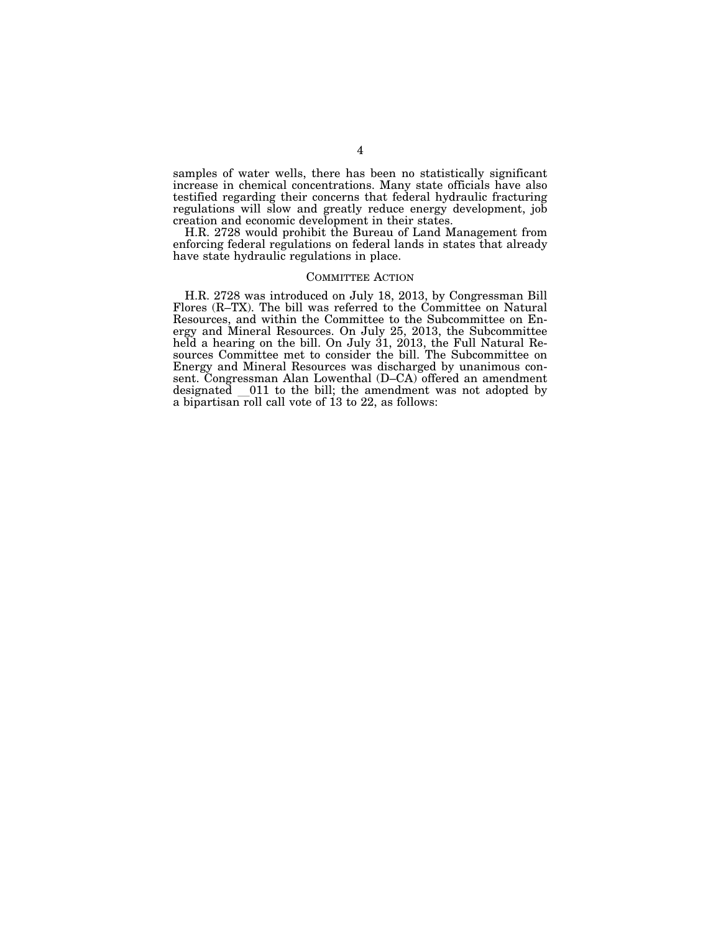samples of water wells, there has been no statistically significant increase in chemical concentrations. Many state officials have also testified regarding their concerns that federal hydraulic fracturing regulations will slow and greatly reduce energy development, job creation and economic development in their states.

H.R. 2728 would prohibit the Bureau of Land Management from enforcing federal regulations on federal lands in states that already have state hydraulic regulations in place.

# COMMITTEE ACTION

H.R. 2728 was introduced on July 18, 2013, by Congressman Bill Flores (R–TX). The bill was referred to the Committee on Natural Resources, and within the Committee to the Subcommittee on Energy and Mineral Resources. On July 25, 2013, the Subcommittee held a hearing on the bill. On July 31, 2013, the Full Natural Resources Committee met to consider the bill. The Subcommittee on Energy and Mineral Resources was discharged by unanimous consent. Congressman Alan Lowenthal (D–CA) offered an amendment designated 011 to the bill; the amendment was not adopted by a bipartisan roll call vote of 13 to 22, as follows: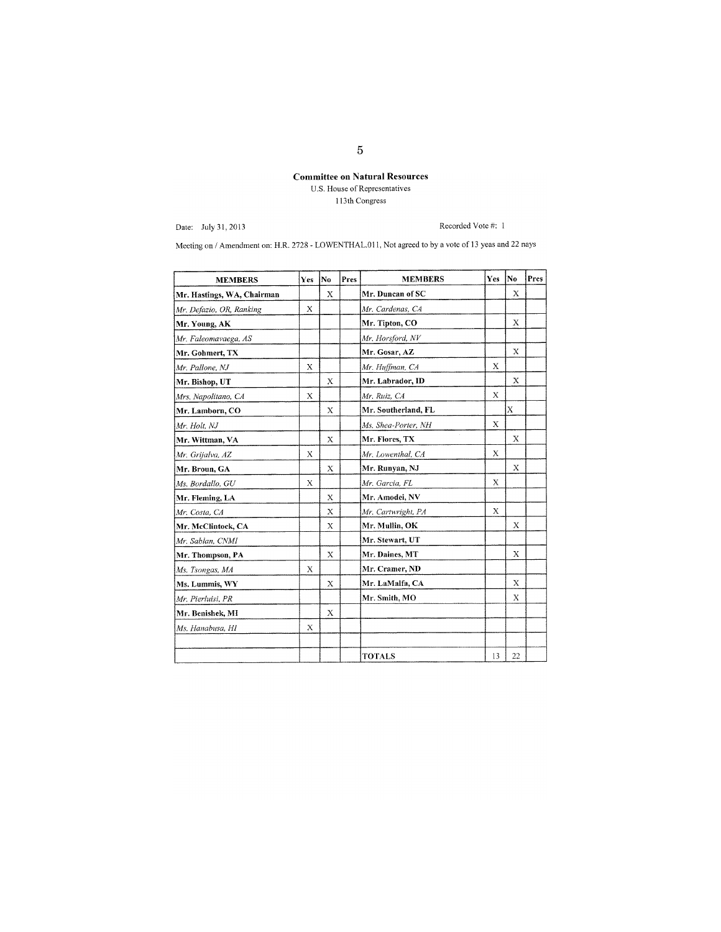# **Committee on Natural Resources** U.S. House of Representatives 113th Congress

Date: July 31. 2013

Recorded Vote #: I

Meeting on / Amendment on: H.R. 2728 - LOWENTHAL.011, Not agreed to by a vote of 13 yeas and 22 nays

| <b>MEMBERS</b>             | Yes | No          | Pres | <b>MEMBERS</b>      | Yes         | No | Pres |
|----------------------------|-----|-------------|------|---------------------|-------------|----|------|
| Mr. Hastings, WA, Chairman |     | X           |      | Mr. Duncan of SC    |             | X  |      |
| Mr. Defazio, OR, Ranking   | X   |             |      | Mr. Cardenas, CA    |             |    |      |
| Mr. Young, AK              |     |             |      | Mr. Tipton, CO      |             | X  |      |
| Mr. Faleomavaega, AS       |     |             |      | Mr. Horsford, NV    |             |    |      |
| Mr. Gohmert, TX            |     |             |      | Mr. Gosar, AZ       |             | X  |      |
| Mr. Pallone. NJ            | X   |             |      | Mr. Huffman, CA     | X           |    |      |
| Mr. Bishop, UT             |     | X           |      | Mr. Labrador, ID    |             | X  |      |
| Mrs. Napolitano, CA        | X   |             |      | Mr. Ruiz, CA        | X           |    |      |
| Mr. Lamborn, CO            |     | X           |      | Mr. Southerland, FL |             | X  |      |
| Mr. Holt, NJ               |     |             |      | Ms. Shea-Porter, NH | X           |    |      |
| Mr. Wittman, VA            |     | X           |      | Mr. Flores, TX      |             | X  |      |
| Mr. Grijalva, AZ           | X   |             |      | Mr. Lowenthal, CA   | $\mathbf x$ |    |      |
| Mr. Broun, GA              |     | X           |      | Mr. Runyan, NJ      |             | X  |      |
| Ms. Bordallo, GU           | X   |             |      | Mr. Garcia, FL      | X           |    |      |
| Mr. Fleming, LA            |     | $\mathbf x$ |      | Mr. Amodei, NV      |             |    |      |
| Mr. Costa, CA              |     | X           |      | Mr. Cartwright, PA  | X           |    |      |
| Mr. McClintock, CA         |     | X           |      | Mr. Mullin, OK      |             | X  |      |
| Mr. Sablan, CNMI           |     |             |      | Mr. Stewart, UT     |             |    |      |
| Mr. Thompson, PA           |     | X           |      | Mr. Daines, MT      |             | X  |      |
| Ms. Tsongas, MA            | X   |             |      | Mr. Cramer, ND      |             |    |      |
| Ms. Lummis, WY             |     | X           |      | Mr. LaMalfa, CA     |             | X  |      |
| Mr. Pierluisi, PR          |     |             |      | Mr. Smith, MO       |             | X  |      |
| Mr. Benishek, MI           |     | X           |      |                     |             |    |      |
| Ms. Hanabusa, HI           | X   |             |      |                     |             |    |      |
|                            |     |             |      |                     |             |    |      |
|                            |     |             |      | <b>TOTALS</b>       | 13          | 22 |      |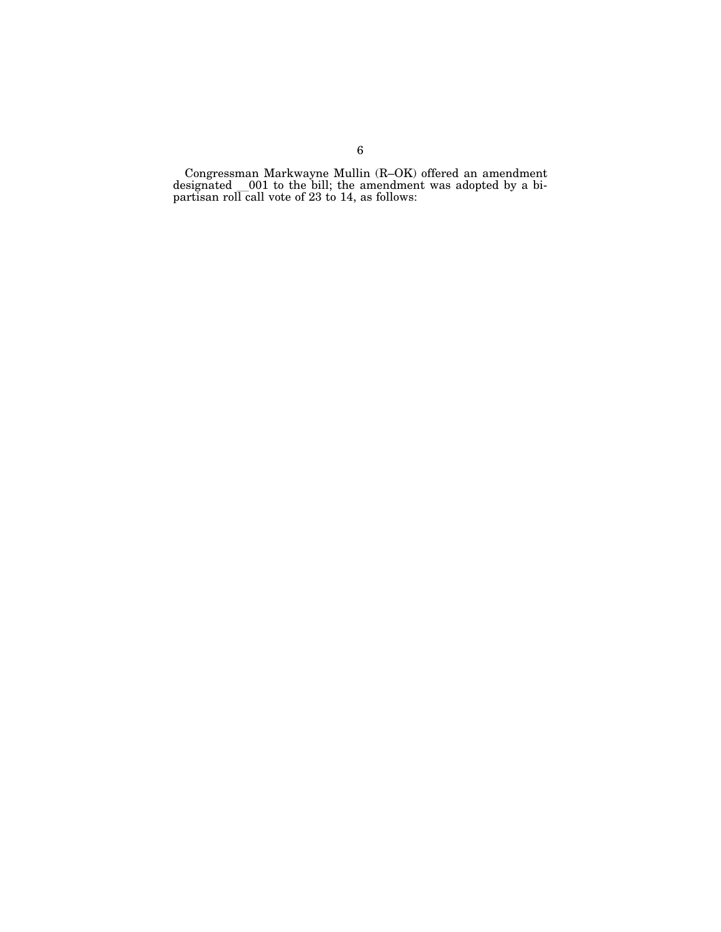Congressman Markwayne Mullin (R–OK) offered an amendment designated l001 to the bill; the amendment was adopted by a bi-partisan roll call vote of 23 to 14, as follows: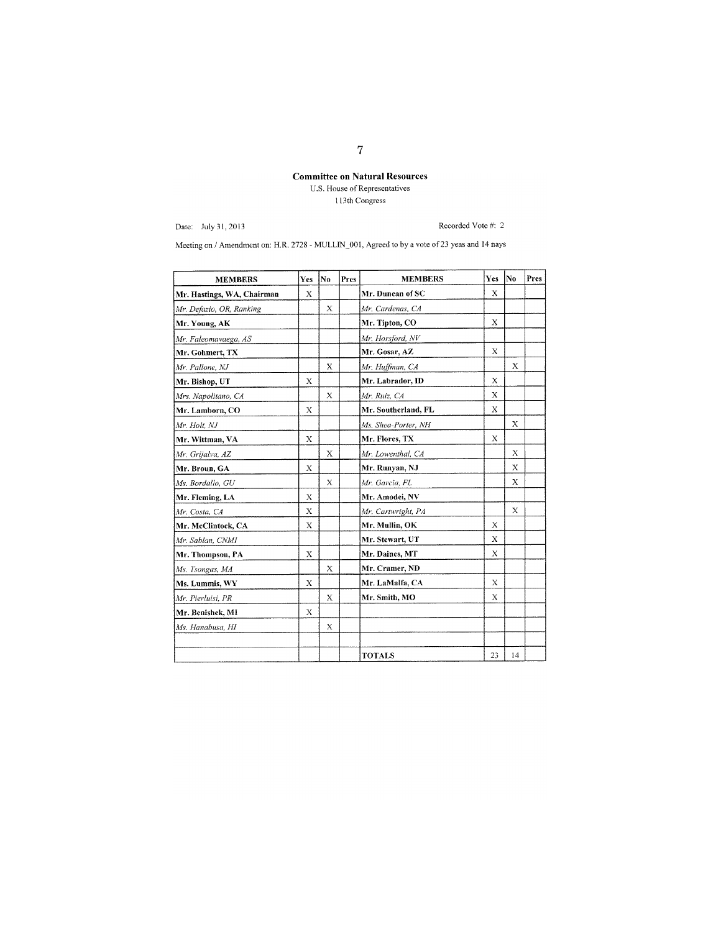# Committee on Natural Resources

U.S. House of Representatives I I 3th Congress

Date: July 3 I, 2013

Recorded Vote #: 2

Meeting on / Amendment on: H.R. 2728 - MULLIN\_001, Agreed to by a vote of 23 yeas and 14 nays

| <b>MEMBERS</b>             | Yes | No          | Pres | <b>MEMBERS</b>      | Yes         | lNo      | Pres |
|----------------------------|-----|-------------|------|---------------------|-------------|----------|------|
| Mr. Hastings, WA, Chairman | X   |             |      | Mr. Duncan of SC    | Х           |          |      |
| Mr. Defazio, OR, Ranking   |     | X           |      | Mr. Cardenas, CA    |             |          |      |
| Mr. Young, AK              |     |             |      | Mr. Tipton, CO      | $\bf{X}$    |          |      |
| Mr. Faleomavaega, AS       |     |             |      | Mr. Horsford, NV    |             |          |      |
| Mr. Gohmert, TX            |     |             |      | Mr. Gosar, AZ       | $\mathbf x$ |          |      |
| Mr. Pallone, NJ            |     | Х           |      | Mr. Huffman, CA     |             | X        |      |
| Mr. Bishop, UT             | X   |             |      | Mr. Labrador, ID    | X           |          |      |
| Mrs. Napolitano, CA        |     | X           |      | Mr. Ruiz, CA        | X           |          |      |
| Mr. Lamborn, CO            | X   |             |      | Mr. Southerland, FL | X           |          |      |
| Mr. Holt, NJ               |     |             |      | Ms. Shea-Porter, NH |             | X        |      |
| Mr. Wittman, VA            | X   |             |      | Mr. Flores, TX      | X           |          |      |
| Mr. Grijalva, AZ           |     | $\bf{X}$    |      | Mr. Lowenthal, CA   |             | $\bf{X}$ |      |
| Mr. Broun, GA              | X   |             |      | Mr. Runyan, NJ      |             | X        |      |
| Ms. Bordallo, GU           |     | X           |      | Mr. Garcia, FL      |             | X        |      |
| Mr. Fleming, LA            | X   |             |      | Mr. Amodei, NV      |             |          |      |
| Mr. Costa, CA              | X   |             |      | Mr. Cartwright, PA  |             | X        |      |
| Mr. McClintock, CA         | X   |             |      | Mr. Mullin, OK      | X           |          |      |
| Mr. Sablan, CNMI           |     |             |      | Mr. Stewart, UT     | X           |          |      |
| Mr. Thompson, PA           | X   |             |      | Mr. Daines, MT      | X           |          |      |
| Ms. Tsongas, MA            |     | $\mathbf x$ |      | Mr. Cramer, ND      |             |          |      |
| Ms. Lummis, WY             | X   |             |      | Mr. LaMalfa, CA     | X           |          |      |
| Mr. Pierluisi, PR          |     | X           |      | Mr. Smith, MO       | Х           |          |      |
| Mr. Benishek, MI           | X   |             |      |                     |             |          |      |
| Ms. Hanabusa, HI           |     | Х           |      |                     |             |          |      |
|                            |     |             |      |                     |             |          |      |
|                            |     |             |      | <b>TOTALS</b>       | 23          | 14       |      |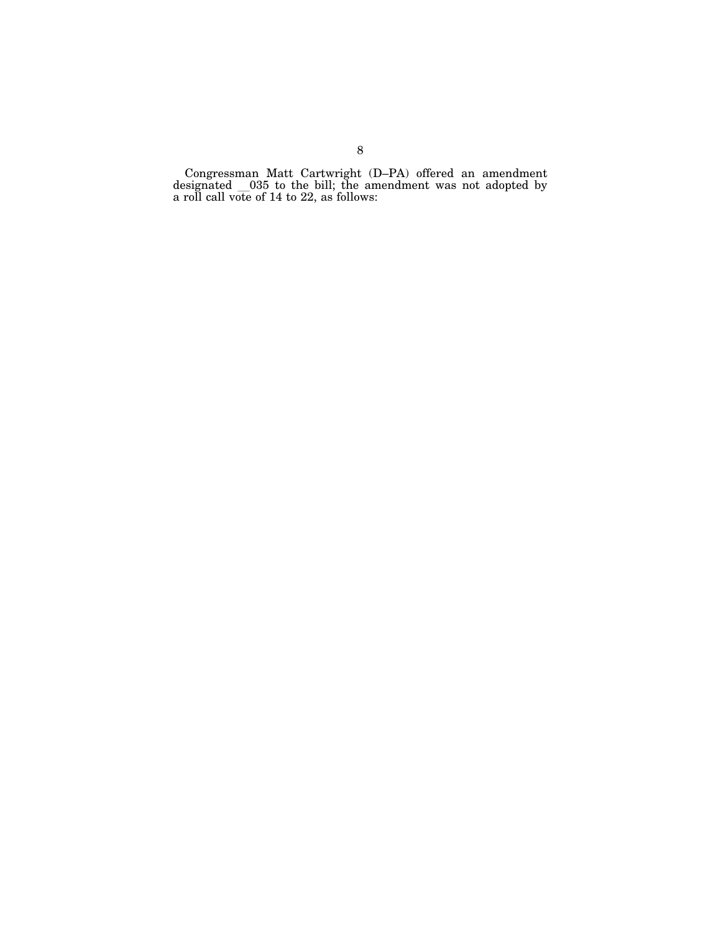Congressman Matt Cartwright (D–PA) offered an amendment designated l035 to the bill; the amendment was not adopted by a roll call vote of 14 to 22, as follows: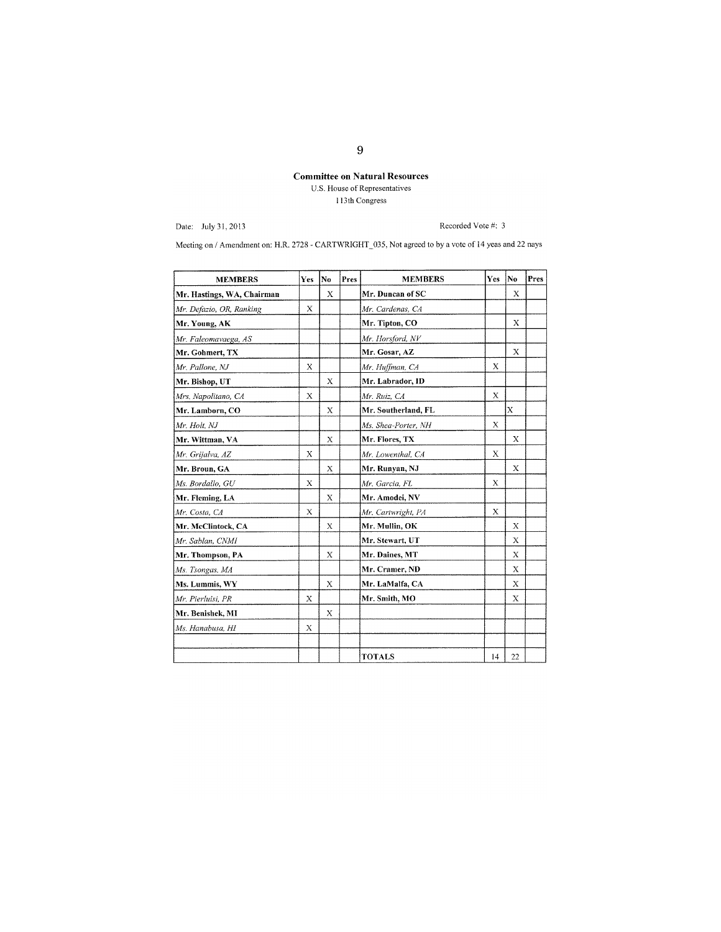# **Committee on Natural Resources**  U.S. House of Representatives I 13 th Congress

Date: July 31, 2013

Recorded Vote #: 3

Meeting on / Amendment on: H.R. 2728 - CARTWRIGHT\_035, Not agreed to by a vote of 14 yeas and 22 nays

| <b>MEMBERS</b>             | Yes         | No | Pres | <b>MEMBERS</b>      | Yes         | No          | Pres |
|----------------------------|-------------|----|------|---------------------|-------------|-------------|------|
| Mr. Hastings, WA, Chairman |             | Х  |      | Mr. Duncan of SC    |             | Х           |      |
| Mr. Defazio, OR, Ranking   | X           |    |      | Mr. Cardenas, CA    |             |             |      |
| Mr. Young, AK              |             |    |      | Mr. Tipton, CO      |             | X           |      |
| Mr. Faleomavaega, AS       |             |    |      | Mr. Horsford, NV    |             |             |      |
| Mr. Gohmert, TX            |             |    |      | Mr. Gosar, AZ       |             | $\mathbf x$ |      |
| Mr. Pallone, NJ            | X           |    |      | Mr. Huffman, CA     | X           |             |      |
| Mr. Bishop, UT             |             | X  |      | Mr. Labrador, ID    |             |             |      |
| Mrs. Napolitano, CA        | $\mathbf x$ |    |      | Mr. Ruiz, CA        | X           |             |      |
| Mr. Lamborn, CO            |             | X  |      | Mr. Southerland, FL |             | X           |      |
| Mr. Holt, NJ               |             |    |      | Ms. Shea-Porter, NH | X           |             |      |
| Mr. Wittman, VA            |             | X  |      | Mr. Flores, TX      |             | X           |      |
| Mr. Grijalva, AZ           | X           |    |      | Mr. Lowenthal, CA   | $\mathbf x$ |             |      |
| Mr. Broun, GA              |             | X  |      | Mr. Runyan, NJ      |             | X           |      |
| Ms. Bordallo, GU           | X           |    |      | Mr. Garcia, FL      | X           |             |      |
| Mr. Fleming, LA            |             | X  |      | Mr. Amodei, NV      |             |             |      |
| Mr. Costa, CA              | $\mathbf x$ |    |      | Mr. Cartwright, PA  | X           |             |      |
| Mr. McClintock, CA         |             | X  |      | Mr. Mullin, OK      |             | X           |      |
| Mr. Sablan, CNMI           |             |    |      | Mr. Stewart, UT     |             | Χ           |      |
| Mr. Thompson, PA           |             | X  |      | Mr. Daines, MT      |             | X           |      |
| Ms. Tsongas, MA            |             |    |      | Mr. Cramer, ND      |             | X           |      |
| Ms. Lummis, WY             |             | X  |      | Mr. LaMalfa, CA     |             | X           |      |
| Mr. Pierluisi, PR          | Χ           |    |      | Mr. Smith, MO       |             | Х           |      |
| Mr. Benishek, MI           |             | X  |      |                     |             |             |      |
| Ms. Hanabusa, HI           | X           |    |      |                     |             |             |      |
|                            |             |    |      |                     |             |             |      |
|                            |             |    |      | <b>TOTALS</b>       | 14          | 22          |      |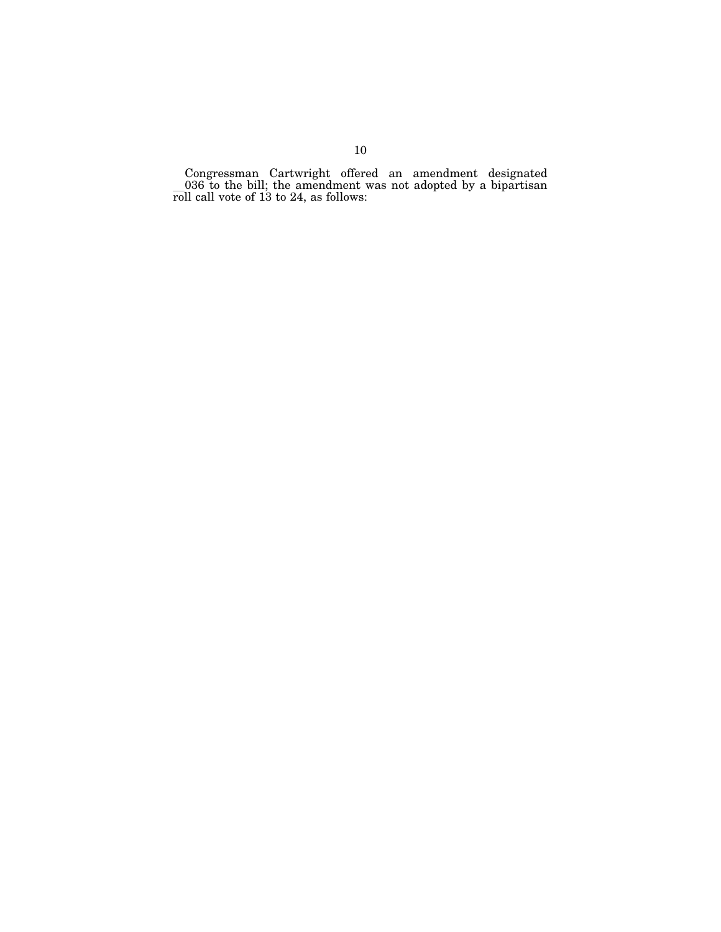Congressman Cartwright offered an amendment designated  $-036$  to the bill; the amendment was not adopted by a bipartisan roll call vote of 13 to 24, as follows: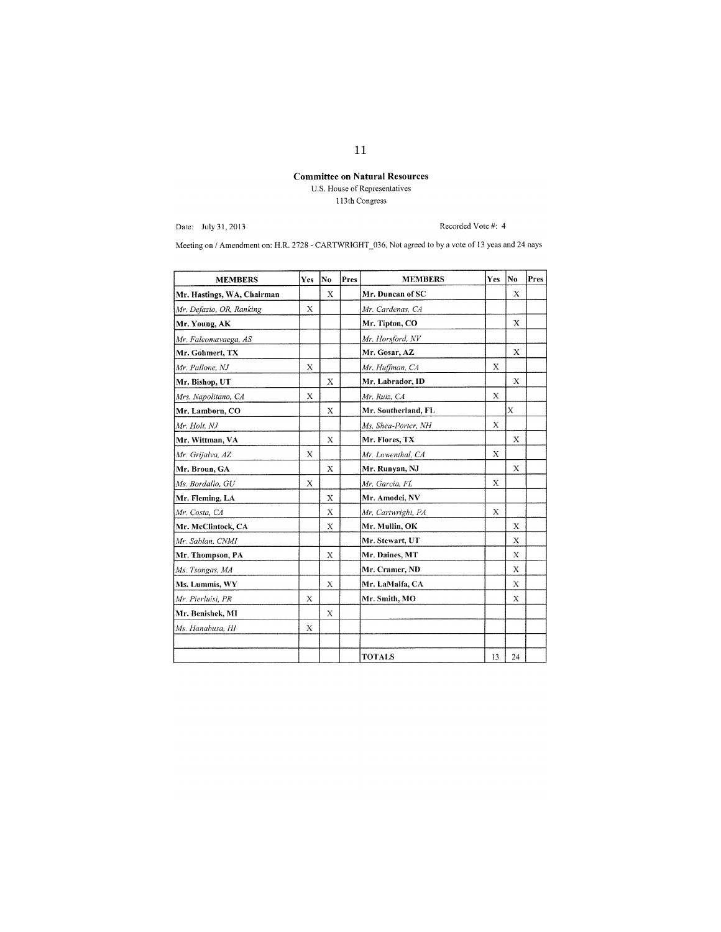# Committee on Natural Resources

U.S. House of Represenlatives ll3th Congress

Date: July 31,2013

Recorded Vote #: 4

Meeting on / Amendment on: H.R. 2728 - CARTWRIGHT\_036, Not agreed to by a vote of 13 yeas and 24 nays

| <b>MEMBERS</b>             | Yes | No | Pres | <b>MEMBERS</b>      | Yes | No          | Pres |
|----------------------------|-----|----|------|---------------------|-----|-------------|------|
| Mr. Hastings, WA, Chairman |     | X  |      | Mr. Duncan of SC    |     | X           |      |
| Mr. Defazio, OR, Ranking   | X   |    |      | Mr. Cardenas, CA    |     |             |      |
| Mr. Young, AK              |     |    |      | Mr. Tipton, CO      |     | $\mathbf x$ |      |
| Mr. Faleomavaega, AS       |     |    |      | Mr. Horsford, NV    |     |             |      |
| Mr. Gohmert, TX            |     |    |      | Mr. Gosar, AZ       |     | X           |      |
| Mr. Pallone, NJ            | X   |    |      | Mr. Huffman, CA     | X   |             |      |
| Mr. Bishop, UT             |     | X  |      | Mr. Labrador, ID    |     | X           |      |
| Mrs. Napolitano, CA        | Х   |    |      | Mr. Ruiz, CA        | X   |             |      |
| Mr. Lamborn, CO            |     | X  |      | Mr. Southerland, FL |     | X           |      |
| Mr. Holt, NJ               |     |    |      | Ms. Shea-Porter, NH | X   |             |      |
| Mr. Wittman, VA            |     | X  |      | Mr. Flores, TX      |     | X           |      |
| Mr. Grijalva, AZ           | X   |    |      | Mr. Lowenthal, CA   | X   |             |      |
| Mr. Broun, GA              |     | X  |      | Mr. Runyan, NJ      |     | Х           |      |
| Ms. Bordallo, GU           | X   |    |      | Mr. Garcia, FL      | X   |             |      |
| Mr. Fleming, LA            |     | X  |      | Mr. Amodei, NV      |     |             |      |
| Mr. Costa, CA              |     | X  |      | Mr. Cartwright, PA  | X   |             |      |
| Mr. McClintock, CA         |     | X  |      | Mr. Mullin, OK      |     | X           |      |
| Mr. Sablan, CNMI           |     |    |      | Mr. Stewart, UT     |     | $\mathbf x$ |      |
| Mr. Thompson, PA           |     | X  |      | Mr. Daines, MT      |     | X           |      |
| Ms. Tsongas, MA            |     |    |      | Mr. Cramer, ND      |     | X           |      |
| Ms. Lummis, WY             |     | X  |      | Mr. LaMalfa, CA     |     | Х           |      |
| Mr. Pierluisi, PR          | X   |    |      | Mr. Smith, MO       |     | X           |      |
| Mr. Benishek, MI           |     | X  |      |                     |     |             |      |
| Ms. Hanabusa, HI           | Х   |    |      |                     |     |             |      |
|                            |     |    |      |                     |     |             |      |
|                            |     |    |      | <b>TOTALS</b>       | 13  | 24          |      |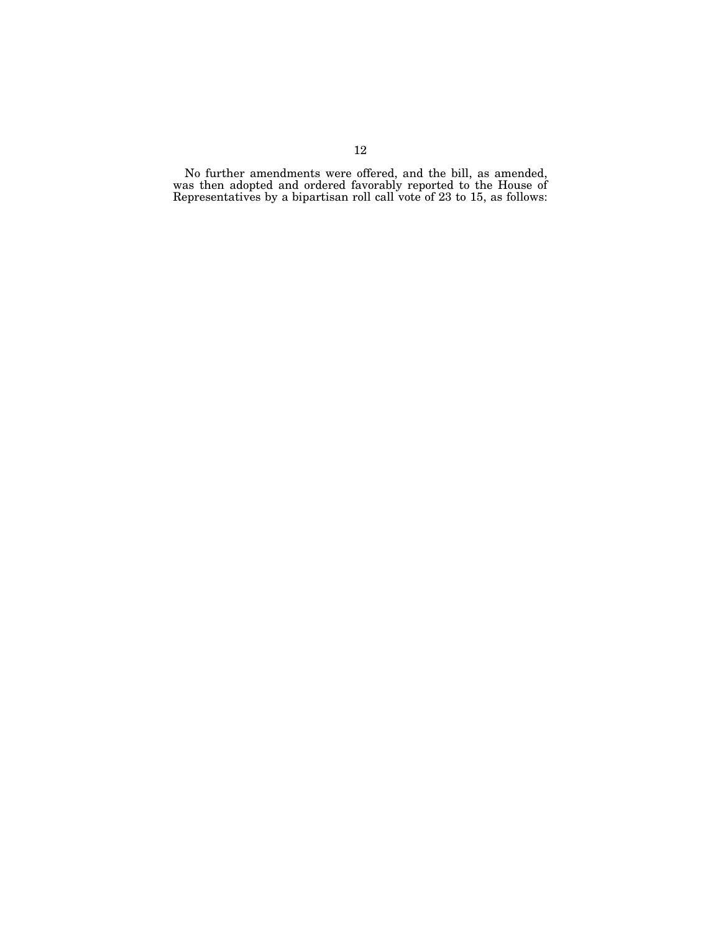No further amendments were offered, and the bill, as amended, was then adopted and ordered favorably reported to the House of Representatives by a bipartisan roll call vote of 23 to 15, as follows: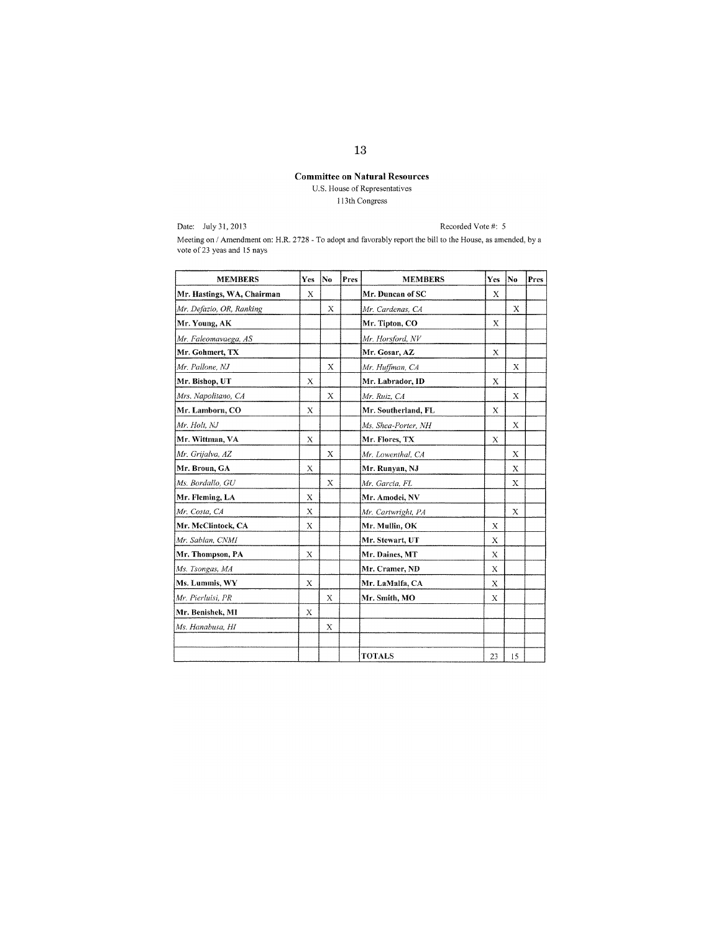# **Committee on Natnral Resources**

U.S. House of Representatives 113th Congress

Date: July 31, 2013

Recorded Vote #: 5

Meeting on I Amendment on: H.R, 2728 - To adopt and favorably report the bill to the House, as amended, by a vote of23 yeas and 15 nays

| <b>MEMBERS</b>             | Yes         | Ne           | Pres | <b>MEMBERS</b>      | Yes         | İN0 | Pres |
|----------------------------|-------------|--------------|------|---------------------|-------------|-----|------|
| Mr. Hastings, WA, Chairman | X           |              |      | Mr. Duncan of SC    | X           |     |      |
| Mr. Defazio, OR, Ranking   |             | X            |      | Mr. Cardenas, CA    |             | X   |      |
| Mr. Young, AK              |             |              |      | Mr. Tipton, CO      | $\mathbf x$ |     |      |
| Mr. Faleomavaega, AS       |             |              |      | Mr. Horsford, NV    |             |     |      |
| Mr. Gohmert, TX            |             |              |      | Mr. Gosar, AZ       | X           |     |      |
| Mr. Pallone, NJ            |             | X            |      | Mr. Huffman, CA     |             | X   |      |
| Mr. Bishop, UT             | X           |              |      | Mr. Labrador, ID    | $\mathbf x$ |     |      |
| Mrs. Napolitano, CA        |             | $\mathbf{x}$ |      | Mr. Ruiz, CA        |             | X   |      |
| Mr. Lamborn, CO            | $\bf{X}$    |              |      | Mr. Southerland, FL | X           |     |      |
| Mr. Holt, NJ               |             |              |      | Ms. Shea-Porter, NH |             | X   |      |
| Mr. Wittman, VA            | X           |              |      | Mr. Flores, TX      | X           |     |      |
| Mr. Grijalva, AZ           |             | X            |      | Mr. Lowenthal, CA   |             | X   |      |
| Mr. Broun, GA              | X           |              |      | Mr. Runyan, NJ      |             | X   |      |
| Ms. Bordallo, GU           |             | X            |      | Mr. Garcia, FL      |             | Χ   |      |
| Mr. Fleming, LA            | Х           |              |      | Mr. Amodei, NV      |             |     |      |
| Mr. Costa, CA              | X           |              |      | Mr. Cartwright, PA  |             | X   |      |
| Mr. McClintock, CA         | X           |              |      | Mr. Mullin, OK      | X           |     |      |
| Mr. Sablan, CNMI           |             |              |      | Mr. Stewart, UT     | Х           |     |      |
| Mr. Thompson, PA           | $\mathbf x$ |              |      | Mr. Daines, MT      | X           |     |      |
| Ms. Tsongas, MA            |             |              |      | Mr. Cramer, ND      | X           |     |      |
| Ms. Lummis, WY             | X           |              |      | Mr. LaMalfa, CA     | X           |     |      |
| Mr. Pierluisi, PR          |             | X            |      | Mr. Smith, MO       | X           |     |      |
| Mr. Benishek, MI           | X           |              |      |                     |             |     |      |
| Ms. Hanabusa, HI           |             | X            |      |                     |             |     |      |
|                            |             |              |      |                     |             |     |      |
|                            |             |              |      | <b>TOTALS</b>       | 23          | 15  |      |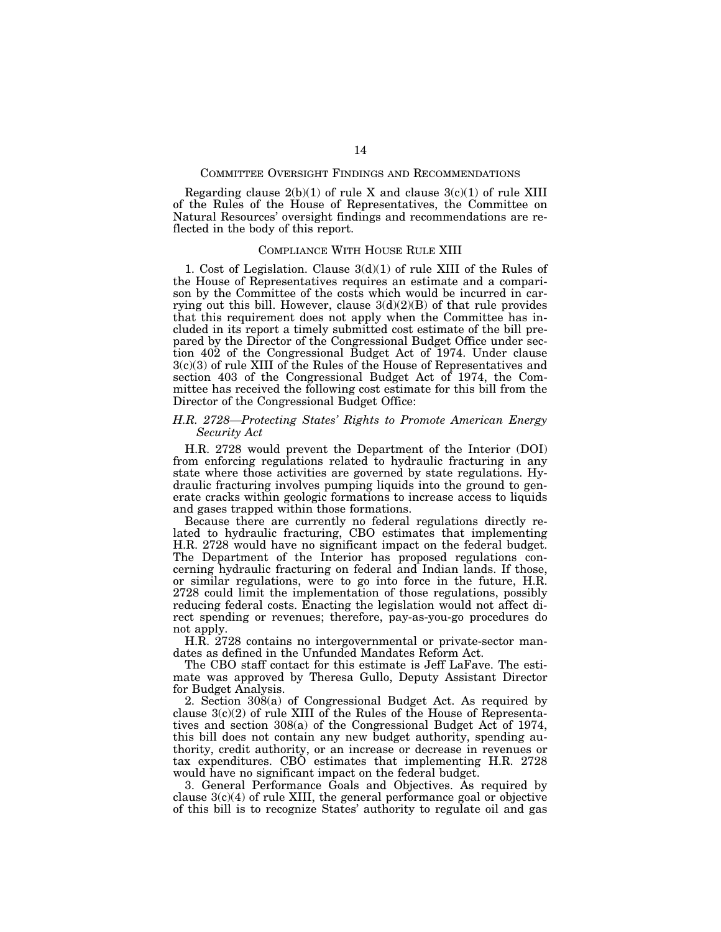## COMMITTEE OVERSIGHT FINDINGS AND RECOMMENDATIONS

Regarding clause  $2(b)(1)$  of rule X and clause  $3(c)(1)$  of rule XIII of the Rules of the House of Representatives, the Committee on Natural Resources' oversight findings and recommendations are reflected in the body of this report.

## COMPLIANCE WITH HOUSE RULE XIII

1. Cost of Legislation. Clause 3(d)(1) of rule XIII of the Rules of the House of Representatives requires an estimate and a comparison by the Committee of the costs which would be incurred in carrying out this bill. However, clause  $3(d)(2)(B)$  of that rule provides that this requirement does not apply when the Committee has included in its report a timely submitted cost estimate of the bill prepared by the Director of the Congressional Budget Office under section 402 of the Congressional Budget Act of 1974. Under clause 3(c)(3) of rule XIII of the Rules of the House of Representatives and section 403 of the Congressional Budget Act of 1974, the Committee has received the following cost estimate for this bill from the Director of the Congressional Budget Office:

# *H.R. 2728—Protecting States' Rights to Promote American Energy Security Act*

H.R. 2728 would prevent the Department of the Interior (DOI) from enforcing regulations related to hydraulic fracturing in any state where those activities are governed by state regulations. Hydraulic fracturing involves pumping liquids into the ground to generate cracks within geologic formations to increase access to liquids and gases trapped within those formations.

Because there are currently no federal regulations directly related to hydraulic fracturing, CBO estimates that implementing H.R. 2728 would have no significant impact on the federal budget. The Department of the Interior has proposed regulations concerning hydraulic fracturing on federal and Indian lands. If those, or similar regulations, were to go into force in the future, H.R. 2728 could limit the implementation of those regulations, possibly reducing federal costs. Enacting the legislation would not affect direct spending or revenues; therefore, pay-as-you-go procedures do not apply.

H.R. 2728 contains no intergovernmental or private-sector mandates as defined in the Unfunded Mandates Reform Act.

The CBO staff contact for this estimate is Jeff LaFave. The estimate was approved by Theresa Gullo, Deputy Assistant Director for Budget Analysis.

2. Section 308(a) of Congressional Budget Act. As required by clause  $3(c)(2)$  of rule XIII of the Rules of the House of Representatives and section 308(a) of the Congressional Budget Act of 1974, this bill does not contain any new budget authority, spending authority, credit authority, or an increase or decrease in revenues or tax expenditures. CBO estimates that implementing H.R. 2728 would have no significant impact on the federal budget.

3. General Performance Goals and Objectives. As required by clause  $3(c)(4)$  of rule XIII, the general performance goal or objective of this bill is to recognize States' authority to regulate oil and gas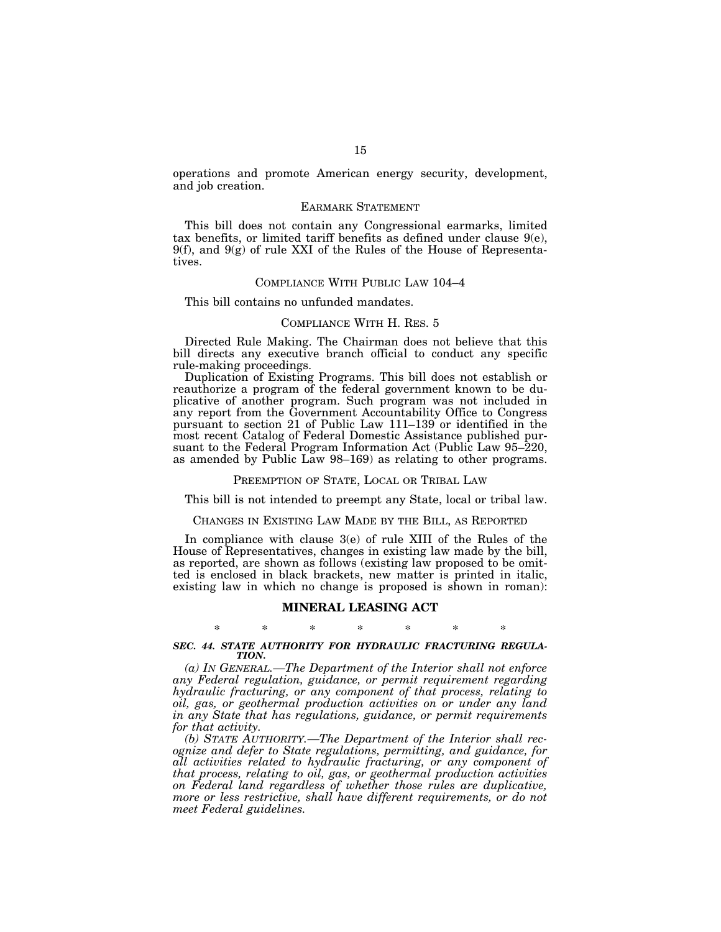operations and promote American energy security, development, and job creation.

## EARMARK STATEMENT

This bill does not contain any Congressional earmarks, limited tax benefits, or limited tariff benefits as defined under clause 9(e),  $9(f)$ , and  $9(g)$  of rule XXI of the Rules of the House of Representatives.

## COMPLIANCE WITH PUBLIC LAW 104–4

This bill contains no unfunded mandates.

## COMPLIANCE WITH H. RES. 5

Directed Rule Making. The Chairman does not believe that this bill directs any executive branch official to conduct any specific rule-making proceedings.

Duplication of Existing Programs. This bill does not establish or reauthorize a program of the federal government known to be duplicative of another program. Such program was not included in any report from the Government Accountability Office to Congress pursuant to section 21 of Public Law 111–139 or identified in the most recent Catalog of Federal Domestic Assistance published pursuant to the Federal Program Information Act (Public Law 95–220, as amended by Public Law 98–169) as relating to other programs.

#### PREEMPTION OF STATE, LOCAL OR TRIBAL LAW

This bill is not intended to preempt any State, local or tribal law.

## CHANGES IN EXISTING LAW MADE BY THE BILL, AS REPORTED

In compliance with clause 3(e) of rule XIII of the Rules of the House of Representatives, changes in existing law made by the bill, as reported, are shown as follows (existing law proposed to be omitted is enclosed in black brackets, new matter is printed in italic, existing law in which no change is proposed is shown in roman):

## **MINERAL LEASING ACT**

# \* \* \* \* \* \* \* *SEC. 44. STATE AUTHORITY FOR HYDRAULIC FRACTURING REGULA-TION.*

*(a) IN GENERAL.—The Department of the Interior shall not enforce any Federal regulation, guidance, or permit requirement regarding hydraulic fracturing, or any component of that process, relating to oil, gas, or geothermal production activities on or under any land in any State that has regulations, guidance, or permit requirements for that activity.* 

*(b) STATE AUTHORITY.—The Department of the Interior shall recognize and defer to State regulations, permitting, and guidance, for all activities related to hydraulic fracturing, or any component of that process, relating to oil, gas, or geothermal production activities on Federal land regardless of whether those rules are duplicative, more or less restrictive, shall have different requirements, or do not meet Federal guidelines.*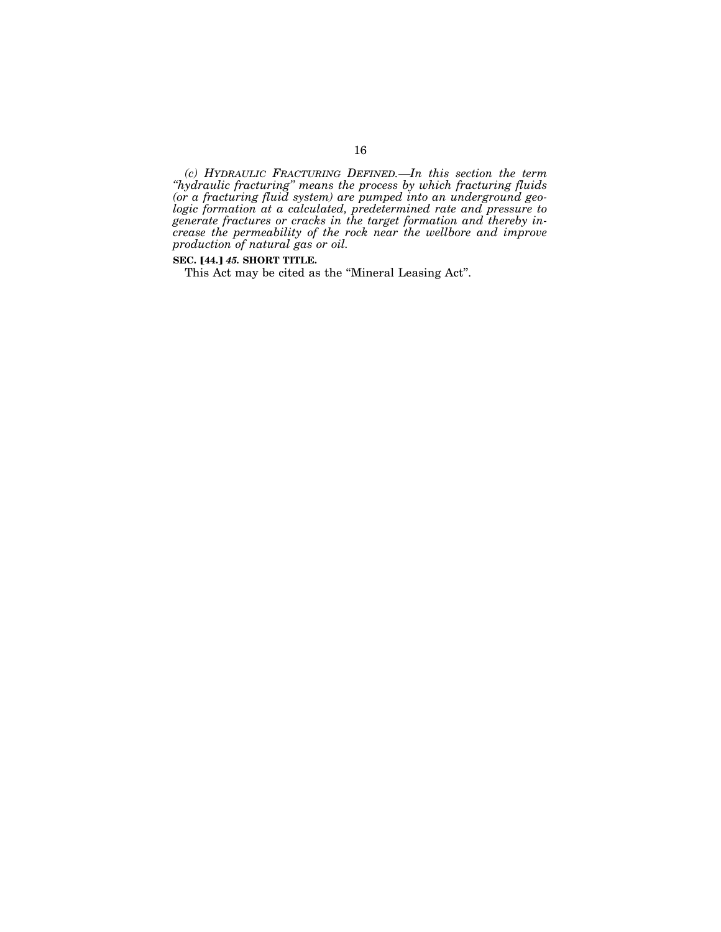*(c) HYDRAULIC FRACTURING DEFINED.—In this section the term ''hydraulic fracturing'' means the process by which fracturing fluids (or a fracturing fluid system) are pumped into an underground geologic formation at a calculated, predetermined rate and pressure to generate fractures or cracks in the target formation and thereby increase the permeability of the rock near the wellbore and improve production of natural gas or oil.* 

# **SEC.** [44.] 45. **SHORT TITLE.**

This Act may be cited as the ''Mineral Leasing Act''.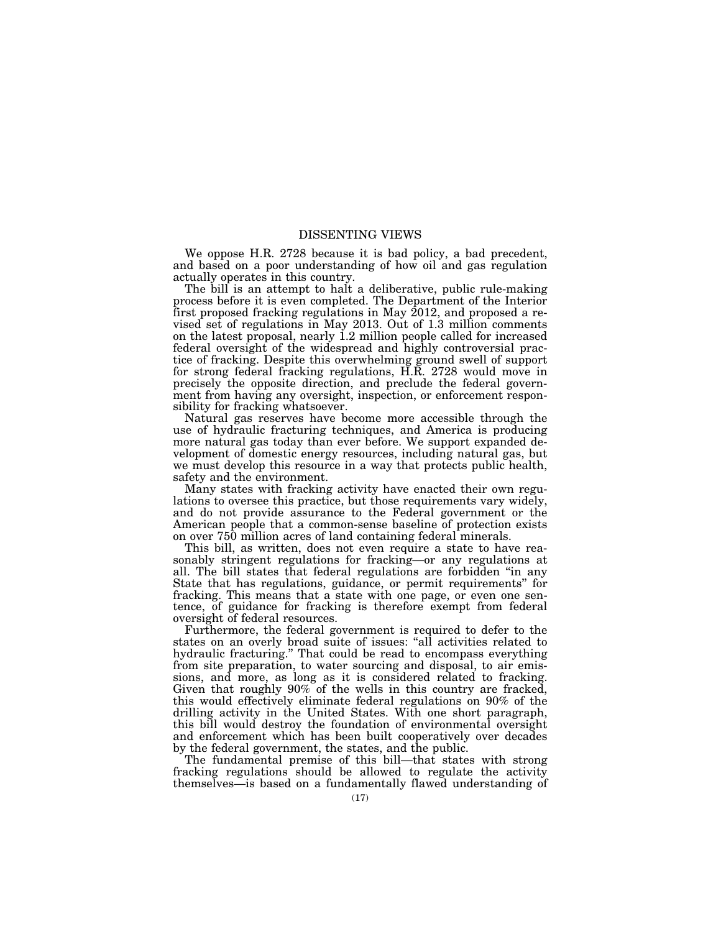# DISSENTING VIEWS

We oppose H.R. 2728 because it is bad policy, a bad precedent, and based on a poor understanding of how oil and gas regulation actually operates in this country.

The bill is an attempt to halt a deliberative, public rule-making process before it is even completed. The Department of the Interior first proposed fracking regulations in May 2012, and proposed a revised set of regulations in May 2013. Out of 1.3 million comments on the latest proposal, nearly 1.2 million people called for increased federal oversight of the widespread and highly controversial practice of fracking. Despite this overwhelming ground swell of support for strong federal fracking regulations, H.R. 2728 would move in precisely the opposite direction, and preclude the federal government from having any oversight, inspection, or enforcement responsibility for fracking whatsoever.

Natural gas reserves have become more accessible through the use of hydraulic fracturing techniques, and America is producing more natural gas today than ever before. We support expanded development of domestic energy resources, including natural gas, but we must develop this resource in a way that protects public health, safety and the environment.

Many states with fracking activity have enacted their own regulations to oversee this practice, but those requirements vary widely, and do not provide assurance to the Federal government or the American people that a common-sense baseline of protection exists on over 750 million acres of land containing federal minerals.

This bill, as written, does not even require a state to have reasonably stringent regulations for fracking—or any regulations at all. The bill states that federal regulations are forbidden ''in any State that has regulations, guidance, or permit requirements'' for fracking. This means that a state with one page, or even one sentence, of guidance for fracking is therefore exempt from federal oversight of federal resources.

Furthermore, the federal government is required to defer to the states on an overly broad suite of issues: ''all activities related to hydraulic fracturing.'' That could be read to encompass everything from site preparation, to water sourcing and disposal, to air emissions, and more, as long as it is considered related to fracking. Given that roughly  $90\%$  of the wells in this country are fracked, this would effectively eliminate federal regulations on 90% of the drilling activity in the United States. With one short paragraph, this bill would destroy the foundation of environmental oversight and enforcement which has been built cooperatively over decades by the federal government, the states, and the public.

The fundamental premise of this bill—that states with strong fracking regulations should be allowed to regulate the activity themselves—is based on a fundamentally flawed understanding of